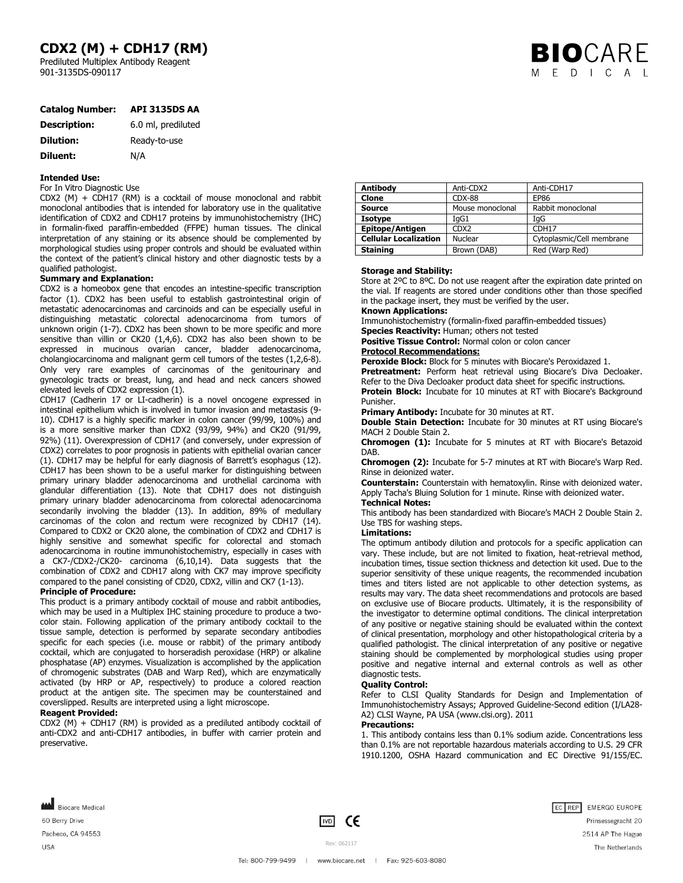## **CDX2 (M) + CDH17 (RM)**

Prediluted Multiplex Antibody Reagent 901-3135DS-090117

## **Catalog Number: API 3135DS AA**

| <b>Description:</b> | 6.0 ml, prediluted |
|---------------------|--------------------|
| <b>Dilution:</b>    | Ready-to-use       |
| Diluent:            | N/A                |

#### **Intended Use:**

For In Vitro Diagnostic Use

CDX2 (M) + CDH17 (RM) is a cocktail of mouse monoclonal and rabbit monoclonal antibodies that is intended for laboratory use in the qualitative identification of CDX2 and CDH17 proteins by immunohistochemistry (IHC) in formalin-fixed paraffin-embedded (FFPE) human tissues. The clinical interpretation of any staining or its absence should be complemented by morphological studies using proper controls and should be evaluated within the context of the patient's clinical history and other diagnostic tests by a qualified pathologist.

#### **Summary and Explanation:**

CDX2 is a homeobox gene that encodes an intestine-specific transcription factor (1). CDX2 has been useful to establish gastrointestinal origin of metastatic adenocarcinomas and carcinoids and can be especially useful in distinguishing metastatic colorectal adenocarcinoma from tumors of unknown origin (1-7). CDX2 has been shown to be more specific and more sensitive than villin or CK20 (1,4,6). CDX2 has also been shown to be expressed in mucinous ovarian cancer, bladder adenocarcinoma, cholangiocarcinoma and malignant germ cell tumors of the testes (1,2,6-8). Only very rare examples of carcinomas of the genitourinary and gynecologic tracts or breast, lung, and head and neck cancers showed elevated levels of CDX2 expression (1).

CDH17 (Cadherin 17 or LI-cadherin) is a novel oncogene expressed in intestinal epithelium which is involved in tumor invasion and metastasis (9- 10). CDH17 is a highly specific marker in colon cancer (99/99, 100%) and is a more sensitive marker than CDX2 (93/99, 94%) and CK20 (91/99, 92%) (11). Overexpression of CDH17 (and conversely, under expression of CDX2) correlates to poor prognosis in patients with epithelial ovarian cancer (1). CDH17 may be helpful for early diagnosis of Barrett's esophagus (12). CDH17 has been shown to be a useful marker for distinguishing between primary urinary bladder adenocarcinoma and urothelial carcinoma with glandular differentiation (13). Note that CDH17 does not distinguish primary urinary bladder adenocarcinoma from colorectal adenocarcinoma secondarily involving the bladder (13). In addition, 89% of medullary carcinomas of the colon and rectum were recognized by CDH17 (14). Compared to CDX2 or CK20 alone, the combination of CDX2 and CDH17 is highly sensitive and somewhat specific for colorectal and stomach adenocarcinoma in routine immunohistochemistry, especially in cases with a CK7-/CDX2-/CK20- carcinoma (6,10,14). Data suggests that the combination of CDX2 and CDH17 along with CK7 may improve specificity compared to the panel consisting of CD20, CDX2, villin and CK7 (1-13).

#### **Principle of Procedure:**

This product is a primary antibody cocktail of mouse and rabbit antibodies, which may be used in a Multiplex IHC staining procedure to produce a twocolor stain. Following application of the primary antibody cocktail to the tissue sample, detection is performed by separate secondary antibodies specific for each species (i.e. mouse or rabbit) of the primary antibody cocktail, which are conjugated to horseradish peroxidase (HRP) or alkaline phosphatase (AP) enzymes. Visualization is accomplished by the application of chromogenic substrates (DAB and Warp Red), which are enzymatically activated (by HRP or AP, respectively) to produce a colored reaction product at the antigen site. The specimen may be counterstained and coverslipped. Results are interpreted using a light microscope.

#### **Reagent Provided:**

CDX2 (M) + CDH17 (RM) is provided as a prediluted antibody cocktail of anti-CDX2 and anti-CDH17 antibodies, in buffer with carrier protein and preservative.

| Antibody                     | Anti-CDX2        | Anti-CDH17                |
|------------------------------|------------------|---------------------------|
| Clone                        | <b>CDX-88</b>    | EP86                      |
| <b>Source</b>                | Mouse monoclonal | Rabbit monoclonal         |
| Isotype                      | IaG1             | IaG                       |
| <b>Epitope/Antigen</b>       | CD <sub>X2</sub> | CDH17                     |
| <b>Cellular Localization</b> | Nuclear          | Cytoplasmic/Cell membrane |
| <b>Staining</b>              | Brown (DAB)      | Red (Warp Red)            |

#### **Storage and Stability:**

Store at 2°C to 8°C. Do not use reagent after the expiration date printed on the vial. If reagents are stored under conditions other than those specified in the package insert, they must be verified by the user.

#### **Known Applications:**

Immunohistochemistry (formalin-fixed paraffin-embedded tissues) **Species Reactivity:** Human; others not tested

**Positive Tissue Control:** Normal colon or colon cancer

#### **Protocol Recommendations:**

**Peroxide Block:** Block for 5 minutes with Biocare's Peroxidazed 1. **Pretreatment:** Perform heat retrieval using Biocare's Diva Decloaker.

Refer to the Diva Decloaker product data sheet for specific instructions. **Protein Block:** Incubate for 10 minutes at RT with Biocare's Background

Punisher.

**Primary Antibody:** Incubate for 30 minutes at RT.

**Double Stain Detection:** Incubate for 30 minutes at RT using Biocare's MACH 2 Double Stain 2.

**Chromogen (1):** Incubate for 5 minutes at RT with Biocare's Betazoid DAB.

**Chromogen (2):** Incubate for 5-7 minutes at RT with Biocare's Warp Red. Rinse in deionized water.

**Counterstain:** Counterstain with hematoxylin. Rinse with deionized water. Apply Tacha's Bluing Solution for 1 minute. Rinse with deionized water.

### **Technical Notes:**

This antibody has been standardized with Biocare's MACH 2 Double Stain 2. Use TBS for washing steps.

#### **Limitations:**

The optimum antibody dilution and protocols for a specific application can vary. These include, but are not limited to fixation, heat-retrieval method, incubation times, tissue section thickness and detection kit used. Due to the superior sensitivity of these unique reagents, the recommended incubation times and titers listed are not applicable to other detection systems, as results may vary. The data sheet recommendations and protocols are based on exclusive use of Biocare products. Ultimately, it is the responsibility of the investigator to determine optimal conditions. The clinical interpretation of any positive or negative staining should be evaluated within the context of clinical presentation, morphology and other histopathological criteria by a qualified pathologist. The clinical interpretation of any positive or negative staining should be complemented by morphological studies using proper positive and negative internal and external controls as well as other diagnostic tests.

#### **Quality Control:**

Refer to CLSI Quality Standards for Design and Implementation of Immunohistochemistry Assays; Approved Guideline-Second edition (I/LA28- A2) CLSI Wayne, PA USA (www.clsi.org). 2011

#### **Precautions:**

1. This antibody contains less than 0.1% sodium azide. Concentrations less than 0.1% are not reportable hazardous materials according to U.S. 29 CFR 1910.1200, OSHA Hazard communication and EC Directive 91/155/EC.

 $\boxed{VD}$  CE

Rev: 062117